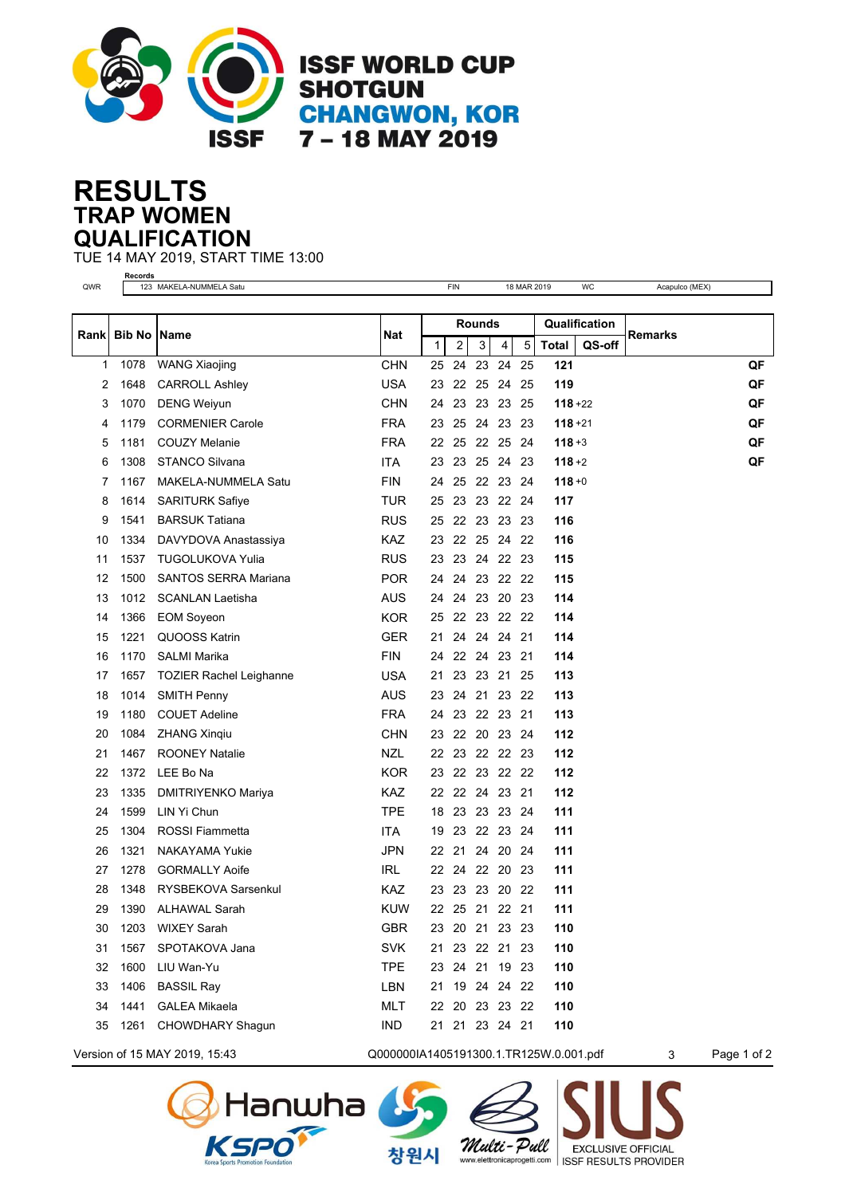

## **TRAP WOMEN RESULTS QUALIFICATION**

TUE 14 MAY 2019, START TIME 13:00 **Records**

| QWR   |      | 123 MAKELA-NUMMELA Satu        |            |                | FIN |                |          | 18 MAR 2019 |               | WC     | Acapulco (MEX) |    |
|-------|------|--------------------------------|------------|----------------|-----|----------------|----------|-------------|---------------|--------|----------------|----|
|       |      |                                |            |                |     |                |          |             |               |        |                |    |
| Rankl |      | <b>Bib No Name</b>             |            | <b>Rounds</b>  |     |                |          |             | Qualification |        |                |    |
|       |      |                                | Nat        | $\mathbf{1}$   | 2   | 3              | 4        | 5           | <b>Total</b>  | QS-off | <b>Remarks</b> |    |
| 1     | 1078 | <b>WANG Xiaojing</b>           | <b>CHN</b> | 25             | 24  |                | 23 24 25 |             | 121           |        |                | QF |
| 2     | 1648 | <b>CARROLL Ashley</b>          | <b>USA</b> | 23             |     | 22 25 24       |          | 25          | 119           |        |                | QF |
| 3     | 1070 | <b>DENG Weiyun</b>             | <b>CHN</b> | 24             | 23  | 23 23          |          | 25          | $118 + 22$    |        |                | QF |
| 4     | 1179 | <b>CORMENIER Carole</b>        | <b>FRA</b> | 23             |     | 25 24 23 23    |          |             | $118 + 21$    |        |                | QF |
| 5     | 1181 | <b>COUZY Melanie</b>           | <b>FRA</b> | 22             |     | 25 22 25 24    |          |             | $118 + 3$     |        |                | QF |
| 6     | 1308 | <b>STANCO Silvana</b>          | ITA        | 23             |     | 23 25 24       |          | 23          | $118 + 2$     |        |                | QF |
| 7     | 1167 | MAKELA-NUMMELA Satu            | <b>FIN</b> | 24             | 25  | 22 23 24       |          |             | $118 + 0$     |        |                |    |
| 8     | 1614 | <b>SARITURK Safiye</b>         | <b>TUR</b> | 25             |     | 23 23 22 24    |          |             | 117           |        |                |    |
| 9     | 1541 | <b>BARSUK Tatiana</b>          | <b>RUS</b> | 25             |     | 22 23 23       |          | 23          | 116           |        |                |    |
| 10    | 1334 | DAVYDOVA Anastassiya           | <b>KAZ</b> | 23             |     | 22 25 24       |          | 22          | 116           |        |                |    |
| 11    | 1537 | <b>TUGOLUKOVA Yulia</b>        | <b>RUS</b> | 23             |     | 23 24 22 23    |          |             | 115           |        |                |    |
| 12    | 1500 | <b>SANTOS SERRA Mariana</b>    | <b>POR</b> | 24             |     | 24 23 22 22    |          |             | 115           |        |                |    |
| 13    | 1012 | <b>SCANLAN Laetisha</b>        | <b>AUS</b> | 24             | 24  | 23             | 20       | 23          | 114           |        |                |    |
| 14    | 1366 | <b>EOM Soyeon</b>              | <b>KOR</b> | 25             |     | 22 23 22 22    |          |             | 114           |        |                |    |
| 15    | 1221 | QUOOSS Katrin                  | <b>GER</b> | 21             |     | 24 24 24 21    |          |             | 114           |        |                |    |
| 16    | 1170 | <b>SALMI Marika</b>            | <b>FIN</b> | 24             |     | 22 24 23 21    |          |             | 114           |        |                |    |
| 17    | 1657 | <b>TOZIER Rachel Leighanne</b> | <b>USA</b> | 21             |     | 23 23 21       |          | 25          | 113           |        |                |    |
| 18    | 1014 | <b>SMITH Penny</b>             | <b>AUS</b> | 23             | 24  | 21 23 22       |          |             | 113           |        |                |    |
| 19    | 1180 | <b>COUET Adeline</b>           | <b>FRA</b> | 24             |     | 23 22 23 21    |          |             | 113           |        |                |    |
| 20    | 1084 | <b>ZHANG Xingiu</b>            | <b>CHN</b> | 23             |     | 22 20 23 24    |          |             | 112           |        |                |    |
| 21    | 1467 | <b>ROONEY Natalie</b>          | <b>NZL</b> | 22             |     | 23 22 22 23    |          |             | 112           |        |                |    |
| 22    | 1372 | LEE Bo Na                      | <b>KOR</b> |                |     | 23 22 23 22 22 |          |             | 112           |        |                |    |
| 23    | 1335 | DMITRIYENKO Mariya             | <b>KAZ</b> | 22             |     | 22 24 23 21    |          |             | 112           |        |                |    |
| 24    | 1599 | LIN Yi Chun                    | <b>TPE</b> | 18             |     | 23 23 23       |          | 24          | 111           |        |                |    |
| 25    | 1304 | <b>ROSSI Fiammetta</b>         | <b>ITA</b> | 19             |     | 23 22 23 24    |          |             | 111           |        |                |    |
| 26    | 1321 | <b>NAKAYAMA Yukie</b>          | <b>JPN</b> |                |     | 22 21 24 20 24 |          |             | 111           |        |                |    |
| 27    | 1278 | <b>GORMALLY Aoife</b>          | IRL.       | 22             |     | 24 22 20       |          | 23          | 111           |        |                |    |
| 28    | 1348 | RYSBEKOVA Sarsenkul            | KAZ.       | 23             |     | 23 23 20       |          | 22          | 111           |        |                |    |
| 29    | 1390 | <b>ALHAWAL Sarah</b>           | <b>KUW</b> |                |     | 22 25 21 22 21 |          |             | 111           |        |                |    |
| 30    | 1203 | <b>WIXEY Sarah</b>             | <b>GBR</b> |                |     | 23 20 21 23 23 |          |             | 110           |        |                |    |
| 31    | 1567 | SPOTAKOVA Jana                 | <b>SVK</b> | 21 23 22 21 23 |     |                |          |             | 110           |        |                |    |
| 32    | 1600 | LIU Wan-Yu                     | <b>TPE</b> | 23 24 21 19 23 |     |                |          |             | 110           |        |                |    |
| 33    | 1406 | <b>BASSIL Ray</b>              | LBN        | 21 19 24 24 22 |     |                |          |             | 110           |        |                |    |
| 34    | 1441 | <b>GALEA Mikaela</b>           | <b>MLT</b> | 22 20 23 23 22 |     |                |          |             | 110           |        |                |    |
| 35    | 1261 | CHOWDHARY Shagun               | <b>IND</b> |                |     | 21 21 23 24 21 |          |             | 110           |        |                |    |
|       |      |                                |            |                |     |                |          |             |               |        |                |    |





Multi-Pull

**EXCLUSIVE OFFICIAL** 

www.elettronicaprogetti.com | ISSF RESULTS PROVIDER